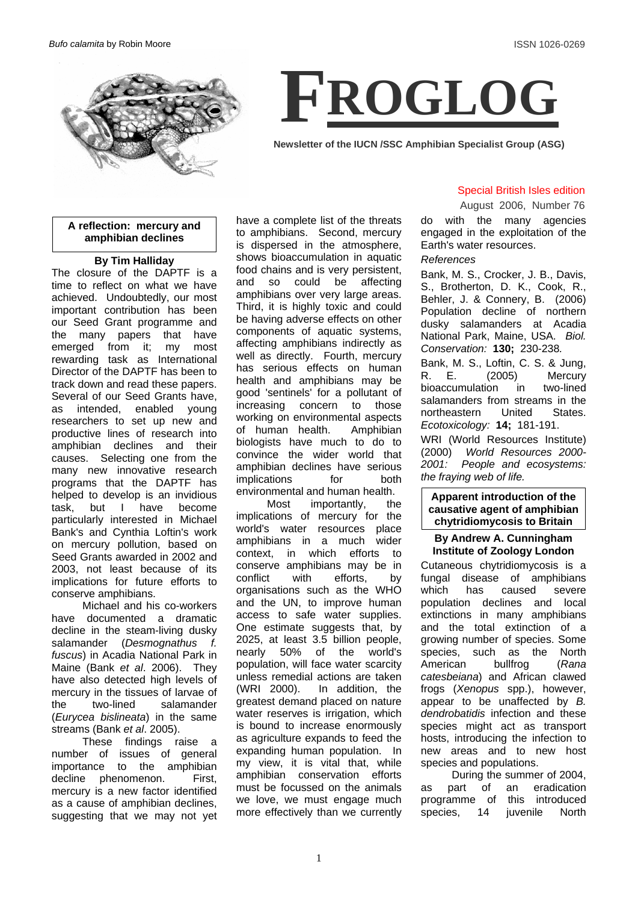



**Newsletter of the IUCN /SSC Amphibian Specialist Group (ASG)**

## **A reflection: mercury and amphibian declines**

### **By Tim Halliday**

The closure of the DAPTF is a time to reflect on what we have achieved. Undoubtedly, our most important contribution has been our Seed Grant programme and the many papers that have emerged from it; my most rewarding task as International Director of the DAPTF has been to track down and read these papers. Several of our Seed Grants have, as intended, enabled young researchers to set up new and productive lines of research into amphibian declines and their causes. Selecting one from the many new innovative research programs that the DAPTF has helped to develop is an invidious task, but I have become particularly interested in Michael Bank's and Cynthia Loftin's work on mercury pollution, based on Seed Grants awarded in 2002 and 2003, not least because of its implications for future efforts to conserve amphibians.

Michael and his co-workers have documented a dramatic decline in the steam-living dusky salamander (*Desmognathus f. fuscus*) in Acadia National Park in Maine (Bank *et al*. 2006). They have also detected high levels of mercury in the tissues of larvae of the two-lined salamander (*Eurycea bislineata*) in the same streams (Bank *et al*. 2005).

These findings raise a number of issues of general importance to the amphibian decline phenomenon. First, mercury is a new factor identified as a cause of amphibian declines, suggesting that we may not yet have a complete list of the threats to amphibians. Second, mercury is dispersed in the atmosphere, shows bioaccumulation in aquatic food chains and is very persistent, and so could be affecting amphibians over very large areas. Third, it is highly toxic and could be having adverse effects on other components of aquatic systems, affecting amphibians indirectly as well as directly. Fourth, mercury has serious effects on human health and amphibians may be good 'sentinels' for a pollutant of increasing concern to those working on environmental aspects of human health. Amphibian biologists have much to do to convince the wider world that amphibian declines have serious implications for both environmental and human health.

Most importantly, the implications of mercury for the world's water resources place amphibians in a much wider context, in which efforts to conserve amphibians may be in conflict with efforts, by organisations such as the WHO and the UN, to improve human access to safe water supplies. One estimate suggests that, by 2025, at least 3.5 billion people, nearly 50% of the world's population, will face water scarcity unless remedial actions are taken (WRI 2000). In addition, the greatest demand placed on nature water reserves is irrigation, which is bound to increase enormously as agriculture expands to feed the expanding human population. In my view, it is vital that, while amphibian conservation efforts must be focussed on the animals we love, we must engage much more effectively than we currently

# Special British Isles edition

do with the many agencies August 2006, Number 76

engaged in the exploitation of the Earth's water resources.

### *References*

Bank, M. S., Crocker, J. B., Davis, S., Brotherton, D. K., Cook, R., Behler, J. & Connery, B. (2006) Population decline of northern dusky salamanders at Acadia National Park, Maine, USA. *Biol. Conservation:* **130;** 230-238*.*

Bank, M. S., Loftin, C. S. & Jung, R. E. (2005) Mercury bioaccumulation in two-lined salamanders from streams in the northeastern United States. *Ecotoxicology:* **14;** 181-191.

WRI (World Resources Institute) (2000) *World Resources 2000- 2001: People and ecosystems: the fraying web of life.*

### **Apparent introduction of the causative agent of amphibian chytridiomycosis to Britain**

### **By Andrew A. Cunningham Institute of Zoology London**

Cutaneous chytridiomycosis is a fungal disease of amphibians which has caused severe population declines and local extinctions in many amphibians and the total extinction of a growing number of species. Some species, such as the North American bullfrog (*Rana catesbeiana*) and African clawed frogs (*Xenopus* spp.), however, appear to be unaffected by *B. dendrobatidis* infection and these species might act as transport hosts, introducing the infection to new areas and to new host species and populations.

 During the summer of 2004, part of an eradication programme of this introduced species, 14 juvenile North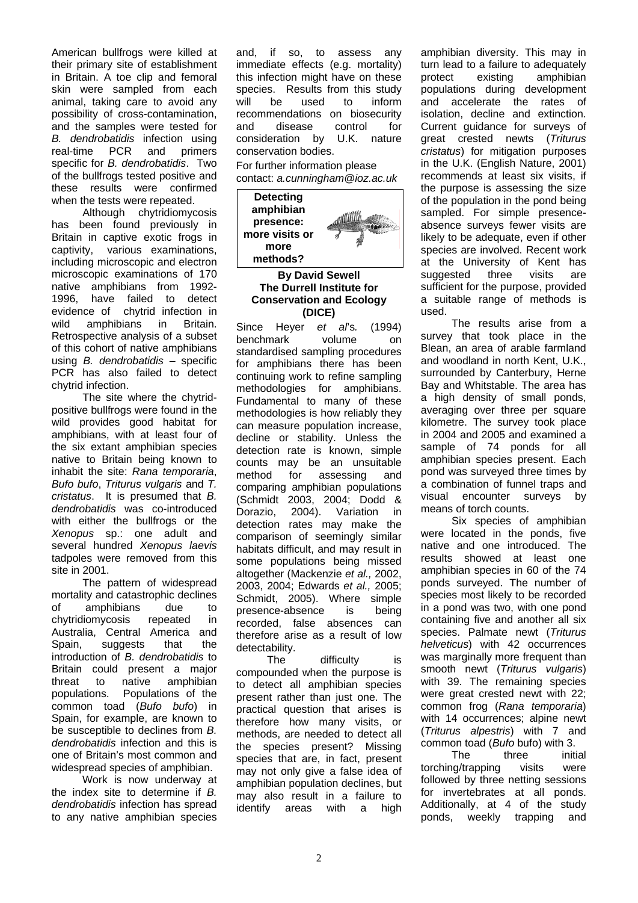American bullfrogs were killed at their primary site of establishment in Britain. A toe clip and femoral skin were sampled from each animal, taking care to avoid any possibility of cross-contamination, and the samples were tested for *B. dendrobatidis* infection using real-time PCR and primers specific for *B. dendrobatidis*. Two of the bullfrogs tested positive and these results were confirmed when the tests were repeated.

 Although chytridiomycosis has been found previously in Britain in captive exotic frogs in captivity, various examinations, including microscopic and electron microscopic examinations of 170 native amphibians from 1992- 1996, have failed to detect evidence of chytrid infection in wild amphibians in Britain. Retrospective analysis of a subset of this cohort of native amphibians using *B. dendrobatidis* – specific PCR has also failed to detect chytrid infection.

 The site where the chytridpositive bullfrogs were found in the wild provides good habitat for amphibians, with at least four of the six extant amphibian species native to Britain being known to inhabit the site: *Rana temporaria*, *Bufo bufo*, *Triturus vulgaris* and *T. cristatus*. It is presumed that *B. dendrobatidis* was co-introduced with either the bullfrogs or the *Xenopus* sp.: one adult and several hundred *Xenopus laevis* tadpoles were removed from this site in 2001.

 The pattern of widespread mortality and catastrophic declines of amphibians due to chytridiomycosis repeated in Australia, Central America and Spain, suggests that the introduction of *B. dendrobatidis* to Britain could present a major threat to native amphibian populations. Populations of the common toad (*Bufo bufo*) in Spain, for example, are known to be susceptible to declines from *B. dendrobatidis* infection and this is one of Britain's most common and widespread species of amphibian.

Work is now underway at the index site to determine if *B. dendrobatidis* infection has spread to any native amphibian species and, if so, to assess any immediate effects (e.g. mortality) this infection might have on these species. Results from this study will be used to inform recommendations on biosecurity and disease control for consideration by U.K. nature conservation bodies.

For further information please contact: *a.cunningham@ioz.ac.uk* 



**By David Sewell The Durrell Institute for Conservation and Ecology (DICE)** 

Since Heyer *et al*'s*.* (1994) benchmark volume on standardised sampling procedures for amphibians there has been continuing work to refine sampling methodologies for amphibians. Fundamental to many of these methodologies is how reliably they can measure population increase, decline or stability. Unless the detection rate is known, simple counts may be an unsuitable method for assessing and comparing amphibian populations (Schmidt 2003, 2004; Dodd & Dorazio, 2004). Variation in detection rates may make the comparison of seemingly similar habitats difficult, and may result in some populations being missed altogether (Mackenzie *et al.,* 2002, 2003, 2004; Edwards *et al.,* 2005; Schmidt, 2005). Where simple presence-absence is being recorded, false absences can therefore arise as a result of low detectability.

The difficulty is compounded when the purpose is to detect all amphibian species present rather than just one. The practical question that arises is therefore how many visits, or methods, are needed to detect all the species present? Missing species that are, in fact, present may not only give a false idea of amphibian population declines, but may also result in a failure to identify areas with a high

amphibian diversity. This may in turn lead to a failure to adequately protect existing amphibian populations during development and accelerate the rates of isolation, decline and extinction. Current guidance for surveys of great crested newts (*Triturus cristatus*) for mitigation purposes in the U.K. (English Nature, 2001) recommends at least six visits, if the purpose is assessing the size of the population in the pond being sampled. For simple presenceabsence surveys fewer visits are likely to be adequate, even if other species are involved. Recent work at the University of Kent has suggested three visits are sufficient for the purpose, provided a suitable range of methods is used.

The results arise from a survey that took place in the Blean, an area of arable farmland and woodland in north Kent, U.K., surrounded by Canterbury, Herne Bay and Whitstable. The area has a high density of small ponds, averaging over three per square kilometre. The survey took place in 2004 and 2005 and examined a sample of 74 ponds for all amphibian species present. Each pond was surveyed three times by a combination of funnel traps and visual encounter surveys by means of torch counts.

Six species of amphibian were located in the ponds, five native and one introduced. The results showed at least one amphibian species in 60 of the 74 ponds surveyed. The number of species most likely to be recorded in a pond was two, with one pond containing five and another all six species. Palmate newt (*Triturus helveticus*) with 42 occurrences was marginally more frequent than smooth newt (*Triturus vulgaris*) with 39. The remaining species were great crested newt with 22; common frog (*Rana temporaria*) with 14 occurrences; alpine newt (*Triturus alpestris*) with 7 and common toad (*Bufo* bufo) with 3.

The three initial torching/trapping visits were followed by three netting sessions for invertebrates at all ponds. Additionally, at 4 of the study ponds, weekly trapping and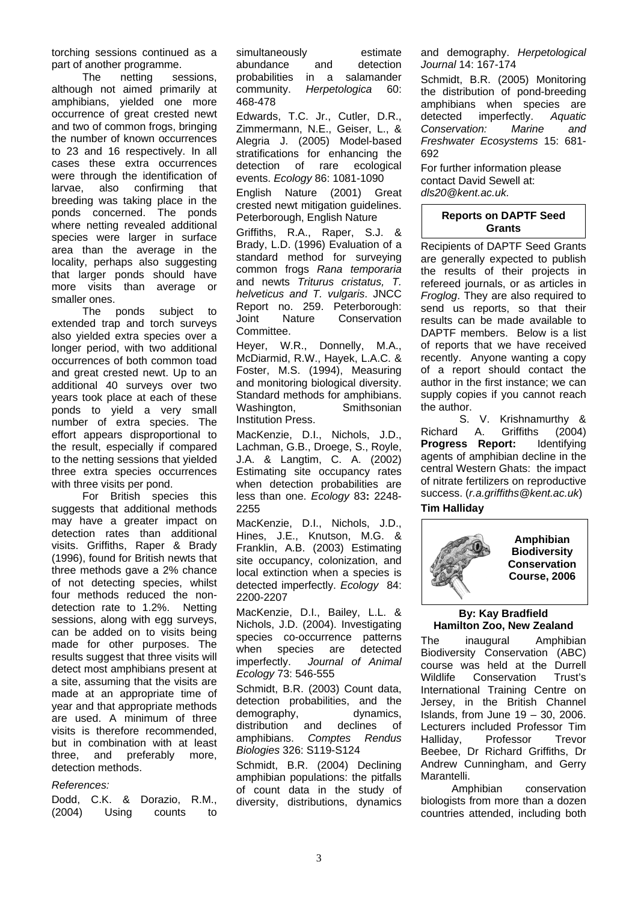torching sessions continued as a part of another programme.

The netting sessions, although not aimed primarily at amphibians, yielded one more occurrence of great crested newt and two of common frogs, bringing the number of known occurrences to 23 and 16 respectively. In all cases these extra occurrences were through the identification of larvae, also confirming that breeding was taking place in the ponds concerned. The ponds where netting revealed additional species were larger in surface area than the average in the locality, perhaps also suggesting that larger ponds should have more visits than average or smaller ones.

The ponds subject to extended trap and torch surveys also yielded extra species over a longer period, with two additional occurrences of both common toad and great crested newt. Up to an additional 40 surveys over two years took place at each of these ponds to yield a very small number of extra species. The effort appears disproportional to the result, especially if compared to the netting sessions that yielded three extra species occurrences with three visits per pond.

For British species this suggests that additional methods may have a greater impact on detection rates than additional visits. Griffiths, Raper & Brady (1996), found for British newts that three methods gave a 2% chance of not detecting species, whilst four methods reduced the nondetection rate to 1.2%. Netting sessions, along with egg surveys, can be added on to visits being made for other purposes. The results suggest that three visits will detect most amphibians present at a site, assuming that the visits are made at an appropriate time of year and that appropriate methods are used. A minimum of three visits is therefore recommended, but in combination with at least three, and preferably more, detection methods.

## *References:*

Dodd, C.K. & Dorazio, R.M., (2004) Using counts to simultaneously estimate abundance and detection probabilities in a salamander community. *Herpetologica* 60: 468-478

Edwards, T.C. Jr., Cutler, D.R., Zimmermann, N.E., Geiser, L., & Alegria J. (2005) Model-based stratifications for enhancing the detection of rare ecological events. *Ecology* 86: 1081-1090

English Nature (2001) Great crested newt mitigation guidelines. Peterborough, English Nature

Griffiths, R.A., Raper, S.J. & Brady, L.D. (1996) Evaluation of a standard method for surveying common frogs *Rana temporaria* and newts *Triturus cristatus, T. helveticus and T. vulgaris*. JNCC Report no. 259. Peterborough: Joint Nature Conservation Committee.

Heyer, W.R., Donnelly, M.A., McDiarmid, R.W., Hayek, L.A.C. & Foster, M.S. (1994), Measuring and monitoring biological diversity. Standard methods for amphibians. Washington, Smithsonian Institution Press.

MacKenzie, D.I., Nichols, J.D., Lachman, G.B., Droege, S., Royle, J.A. & Langtim, C. A. (2002) Estimating site occupancy rates when detection probabilities are less than one. *Ecology* 83**:** 2248- 2255

MacKenzie, D.I., Nichols, J.D., Hines, J.E., Knutson, M.G. & Franklin, A.B. (2003) Estimating site occupancy, colonization, and local extinction when a species is detected imperfectly. *Ecology* 84: 2200-2207

MacKenzie, D.I., Bailey, L.L. & Nichols, J.D. (2004). Investigating species co-occurrence patterns when species are detected imperfectly. *Journal of Animal Ecology* 73: 546-555

Schmidt, B.R. (2003) Count data, detection probabilities, and the demography, dynamics, distribution and declines of amphibians. *Comptes Rendus Biologies* 326: S119-S124

Schmidt, B.R. (2004) Declining amphibian populations: the pitfalls of count data in the study of diversity, distributions, dynamics and demography. *Herpetological Journal* 14: 167-174

Schmidt, B.R. (2005) Monitoring the distribution of pond-breeding amphibians when species are detected imperfectly. *Aquatic Conservation: Marine and Freshwater Ecosystems* 15: 681- 692

For further information please contact David Sewell at: *dls20@kent.ac.uk.*

# **Reports on DAPTF Seed Grants**

Recipients of DAPTF Seed Grants are generally expected to publish the results of their projects in refereed journals, or as articles in *Froglog*. They are also required to send us reports, so that their results can be made available to DAPTF members. Below is a list of reports that we have received recently. Anyone wanting a copy of a report should contact the author in the first instance; we can supply copies if you cannot reach the author.

 S. V. Krishnamurthy & Richard A. Griffiths (2004) **Progress Report:** Identifying agents of amphibian decline in the central Western Ghats: the impact of nitrate fertilizers on reproductive success. (*r.a.griffiths@kent.ac.uk*)

# **Tim Halliday**



## **By: Kay Bradfield Hamilton Zoo, New Zealand**

The inaugural Amphibian Biodiversity Conservation (ABC) course was held at the Durrell Wildlife Conservation Trust's International Training Centre on Jersey, in the British Channel Islands, from June 19 – 30, 2006. Lecturers included Professor Tim Halliday, Professor Trevor Beebee, Dr Richard Griffiths, Dr Andrew Cunningham, and Gerry Marantelli.

Amphibian conservation biologists from more than a dozen countries attended, including both